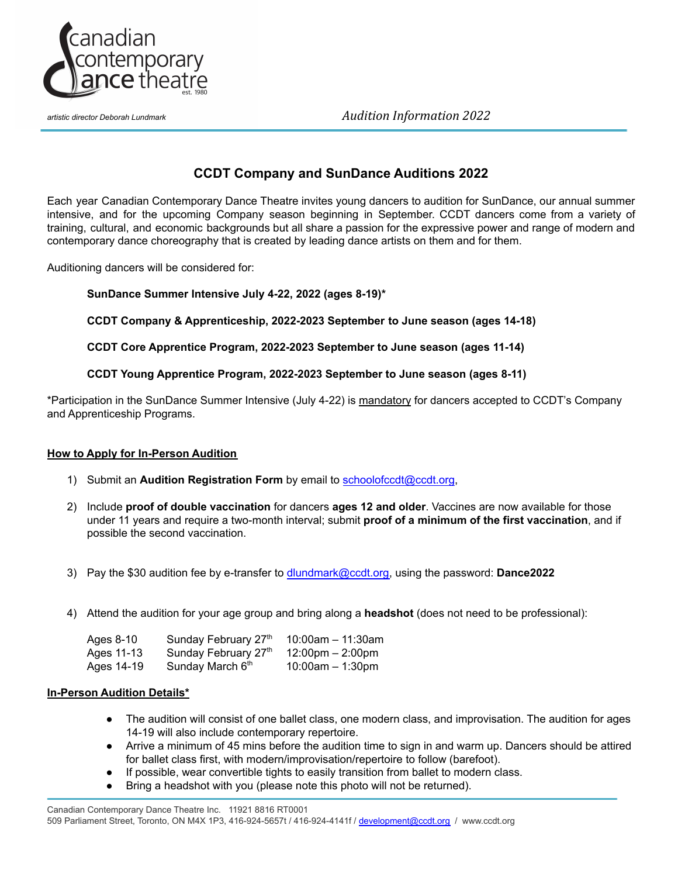

*artistic director Deborah Lundmark Audition Information 2022*

# **CCDT Company and SunDance Auditions 2022**

Each year Canadian Contemporary Dance Theatre invites young dancers to audition for SunDance, our annual summer intensive, and for the upcoming Company season beginning in September. CCDT dancers come from a variety of training, cultural, and economic backgrounds but all share a passion for the expressive power and range of modern and contemporary dance choreography that is created by leading dance artists on them and for them.

Auditioning dancers will be considered for:

### **SunDance Summer Intensive July 4-22, 2022 (ages 8-19)\***

**CCDT Company & Apprenticeship, 2022-2023 September to June season (ages 14-18)**

**CCDT Core Apprentice Program, 2022-2023 September to June season (ages 11-14)**

#### **CCDT Young Apprentice Program, 2022-2023 September to June season (ages 8-11)**

\*Participation in the SunDance Summer Intensive (July 4-22) is mandatory for dancers accepted to CCDT's Company and Apprenticeship Programs.

### **How to Apply for In-Person Audition**

- 1) Submit an **Audition Registration Form** by email to [schoolofccdt@ccdt.org,](mailto:schoolofccdt@ccdt.org)
- 2) Include **proof of double vaccination** for dancers **ages 12 and older**. Vaccines are now available for those under 11 years and require a two-month interval; submit **proof of a minimum of the first vaccination**, and if possible the second vaccination.
- 3) Pay the \$30 audition fee by e-transfer to [dlundmark@ccdt.org,](mailto:dlundmark@ccdt.org) using the password: **Dance2022**
- 4) Attend the audition for your age group and bring along a **headshot** (does not need to be professional):

| Ages 8-10  | Sunday February 27th         | $10:00$ am - 11:30am               |
|------------|------------------------------|------------------------------------|
| Ages 11-13 | Sunday February 27th         | $12:00 \text{pm} - 2:00 \text{pm}$ |
| Ages 14-19 | Sunday March 6 <sup>th</sup> | $10:00$ am $-1:30$ pm              |

#### **In-Person Audition Details\***

- The audition will consist of one ballet class, one modern class, and improvisation. The audition for ages 14-19 will also include contemporary repertoire.
- Arrive a minimum of 45 mins before the audition time to sign in and warm up. Dancers should be attired for ballet class first, with modern/improvisation/repertoire to follow (barefoot).
- If possible, wear convertible tights to easily transition from ballet to modern class.
- Bring a headshot with you (please note this photo will not be returned).